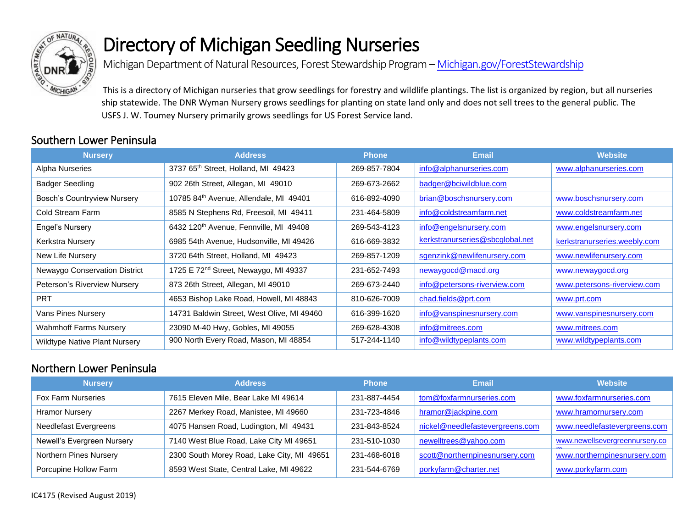

# Directory of Michigan Seedling Nurseries

Michigan Department of Natural Resources, Forest Stewardship Program - Michigan.gov/ForestStewardship

This is a directory of Michigan nurseries that grow seedlings for forestry and wildlife plantings. The list is organized by region, but all nurseries ship statewide. The DNR Wyman Nursery grows seedlings for planting on state land only and does not sell trees to the general public. The USFS J. W. Toumey Nursery primarily grows seedlings for US Forest Service land.

#### Southern Lower Peninsula

| <b>Nursery</b>                       | <b>Address</b>                                    | <b>Phone</b> | <b>Email</b>                    | <b>Website</b>               |
|--------------------------------------|---------------------------------------------------|--------------|---------------------------------|------------------------------|
| Alpha Nurseries                      | 3737 65th Street, Holland, MI 49423               | 269-857-7804 | info@alphanurseries.com         | www.alphanurseries.com       |
| Badger Seedling                      | 902 26th Street, Allegan, MI 49010                | 269-673-2662 | badger@bciwildblue.com          |                              |
| <b>Bosch's Countryview Nursery</b>   | 10785 84th Avenue, Allendale, MI 49401            | 616-892-4090 | brian@boschsnursery.com         | www.boschsnursery.com        |
| Cold Stream Farm                     | 8585 N Stephens Rd, Freesoil, MI 49411            | 231-464-5809 | info@coldstreamfarm.net         | www.coldstreamfarm.net       |
| Engel's Nursery                      | 6432 120th Avenue, Fennville, MI 49408            | 269-543-4123 | info@engelsnursery.com          | www.engelsnursery.com        |
| Kerkstra Nursery                     | 6985 54th Avenue, Hudsonville, MI 49426           | 616-669-3832 | kerkstranurseries@sbcglobal.net | kerkstranurseries.weebly.com |
| New Life Nursery                     | 3720 64th Street, Holland, MI 49423               | 269-857-1209 | sgenzink@newlifenursery.com     | www.newlifenursery.com       |
| Newaygo Conservation District        | 1725 E 72 <sup>nd</sup> Street, Newaygo, MI 49337 | 231-652-7493 | newaygocd@macd.org              | www.newaygocd.org            |
| Peterson's Riverview Nursery         | 873 26th Street, Allegan, MI 49010                | 269-673-2440 | info@petersons-riverview.com    | www.petersons-riverview.com  |
| <b>PRT</b>                           | 4653 Bishop Lake Road, Howell, MI 48843           | 810-626-7009 | chad.fields@prt.com             | www.prt.com                  |
| Vans Pines Nursery                   | 14731 Baldwin Street, West Olive, MI 49460        | 616-399-1620 | info@vanspinesnursery.com       | www.vanspinesnursery.com     |
| <b>Wahmhoff Farms Nursery</b>        | 23090 M-40 Hwy, Gobles, MI 49055                  | 269-628-4308 | info@mitrees.com                | www.mitrees.com              |
| <b>Wildtype Native Plant Nursery</b> | 900 North Every Road, Mason, MI 48854             | 517-244-1140 | info@wildtypeplants.com         | www.wildtypeplants.com       |

### Northern Lower Peninsula

| <b>Nursery</b>               | <b>Address</b>                             | <b>Phone</b> | <b>Email</b>                    | <b>Website</b>                 |
|------------------------------|--------------------------------------------|--------------|---------------------------------|--------------------------------|
| <b>Fox Farm Nurseries</b>    | 7615 Eleven Mile, Bear Lake MI 49614       | 231-887-4454 | tom@foxfarmnurseries.com        | www.foxfarmnurseries.com       |
| <b>Hramor Nursery</b>        | 2267 Merkey Road, Manistee, MI 49660       | 231-723-4846 | hramor@jackpine.com             | www.hramornursery.com          |
| <b>Needlefast Evergreens</b> | 4075 Hansen Road, Ludington, MI 49431      | 231-843-8524 | nickel@needlefastevergreens.com | www.needlefastevergreens.com   |
| Newell's Evergreen Nursery   | 7140 West Blue Road, Lake City MI 49651    | 231-510-1030 | newelltrees@yahoo.com           | www.newellsevergreennursery.co |
| Northern Pines Nursery       | 2300 South Morey Road, Lake City, MI 49651 | 231-468-6018 | scott@northernpinesnursery.com  | www.northernpinesnursery.com   |
| Porcupine Hollow Farm        | 8593 West State, Central Lake, MI 49622    | 231-544-6769 | porkyfarm@charter.net           | www.porkyfarm.com              |